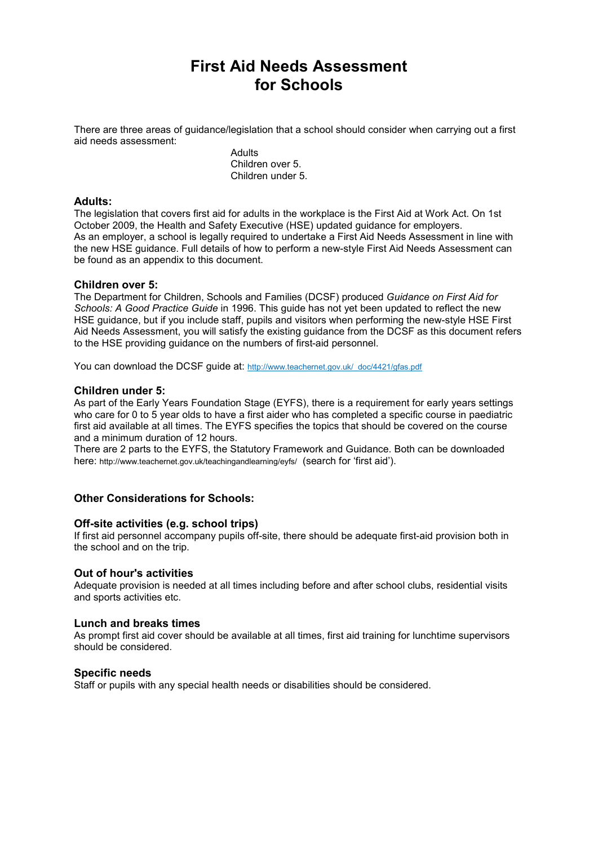# **First Aid Needs Assessment for Schools**

There are three areas of guidance/legislation that a school should consider when carrying out a first aid needs assessment:

> **Adults** Children over 5. Children under 5.

#### **Adults:**

The legislation that covers first aid for adults in the workplace is the First Aid at Work Act. On 1st October 2009, the Health and Safety Executive (HSE) updated guidance for employers. As an employer, a school is legally required to undertake a First Aid Needs Assessment in line with the new HSE guidance. Full details of how to perform a new-style First Aid Needs Assessment can be found as an appendix to this document.

#### **Children over 5:**

The Department for Children, Schools and Families (DCSF) produced *Guidance on First Aid for Schools: A Good Practice Guide* in 1996. This guide has not yet been updated to reflect the new HSE guidance, but if you include staff, pupils and visitors when performing the new-style HSE First Aid Needs Assessment, you will satisfy the existing guidance from the DCSF as this document refers to the HSE providing guidance on the numbers of first-aid personnel.

You can download the DCSF quide at: http://www.teachernet.gov.uk/\_doc/4421/gfas.pdf

#### **Children under 5:**

As part of the Early Years Foundation Stage (EYFS), there is a requirement for early years settings who care for 0 to 5 year olds to have a first aider who has completed a specific course in paediatric first aid available at all times. The EYFS specifies the topics that should be covered on the course and a minimum duration of 12 hours.

There are 2 parts to the EYFS, the Statutory Framework and Guidance. Both can be downloaded here: http://www.teachernet.gov.uk/teachingandlearning/eyfs/ (search for 'first aid').

#### **Other Considerations for Schools:**

#### **Off-site activities (e.g. school trips)**

If first aid personnel accompany pupils off-site, there should be adequate first-aid provision both in the school and on the trip.

#### **Out of hour's activities**

Adequate provision is needed at all times including before and after school clubs, residential visits and sports activities etc.

#### **Lunch and breaks times**

As prompt first aid cover should be available at all times, first aid training for lunchtime supervisors should be considered.

#### **Specific needs**

Staff or pupils with any special health needs or disabilities should be considered.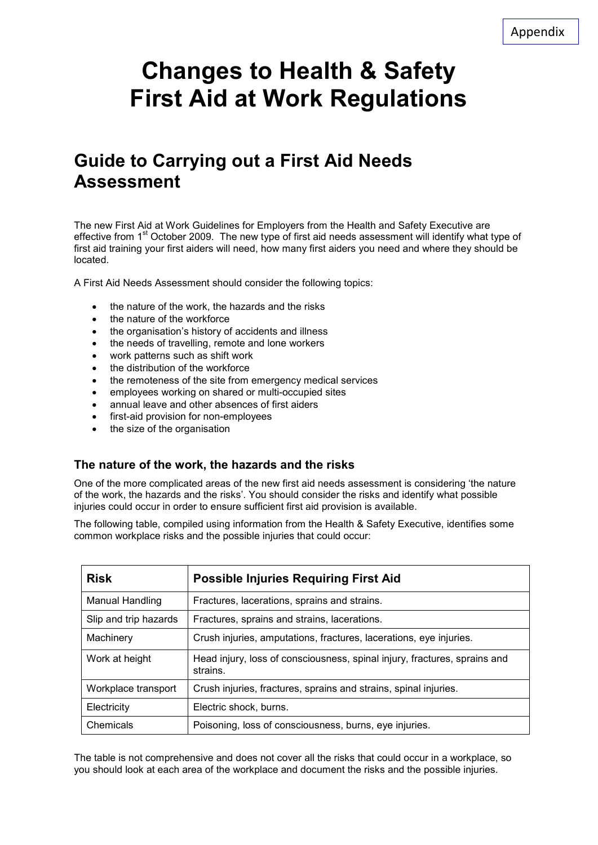# **Changes to Health & Safety First Aid at Work Regulations**

# **Guide to Carrying out a First Aid Needs Assessment**

The new First Aid at Work Guidelines for Employers from the Health and Safety Executive are effective from 1<sup>st</sup> October 2009. The new type of first aid needs assessment will identify what type of first aid training your first aiders will need, how many first aiders you need and where they should be located.

A First Aid Needs Assessment should consider the following topics:

- the nature of the work, the hazards and the risks
- the nature of the workforce
- the organisation's history of accidents and illness
- the needs of travelling, remote and lone workers
- work patterns such as shift work
- the distribution of the workforce
- the remoteness of the site from emergency medical services
- employees working on shared or multi-occupied sites
- annual leave and other absences of first aiders
- first-aid provision for non-employees
- the size of the organisation

# **The nature of the work, the hazards and the risks**

One of the more complicated areas of the new first aid needs assessment is considering 'the nature of the work, the hazards and the risks'. You should consider the risks and identify what possible injuries could occur in order to ensure sufficient first aid provision is available.

The following table, compiled using information from the Health & Safety Executive, identifies some common workplace risks and the possible injuries that could occur:

| <b>Risk</b>           | <b>Possible Injuries Requiring First Aid</b>                                          |  |  |
|-----------------------|---------------------------------------------------------------------------------------|--|--|
| Manual Handling       | Fractures, lacerations, sprains and strains.                                          |  |  |
| Slip and trip hazards | Fractures, sprains and strains, lacerations.                                          |  |  |
| Machinery             | Crush injuries, amputations, fractures, lacerations, eye injuries.                    |  |  |
| Work at height        | Head injury, loss of consciousness, spinal injury, fractures, sprains and<br>strains. |  |  |
| Workplace transport   | Crush injuries, fractures, sprains and strains, spinal injuries.                      |  |  |
| Electricity           | Electric shock, burns.                                                                |  |  |
| Chemicals             | Poisoning, loss of consciousness, burns, eye injuries.                                |  |  |

The table is not comprehensive and does not cover all the risks that could occur in a workplace, so you should look at each area of the workplace and document the risks and the possible injuries.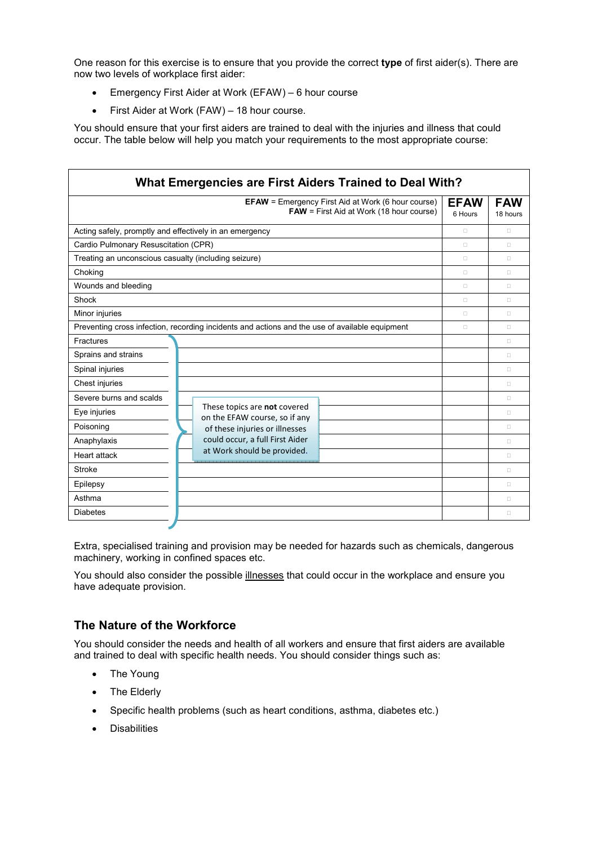One reason for this exercise is to ensure that you provide the correct **type** of first aider(s). There are now two levels of workplace first aider:

- Emergency First Aider at Work (EFAW) 6 hour course
- First Aider at Work (FAW) 18 hour course.

You should ensure that your first aiders are trained to deal with the injuries and illness that could occur. The table below will help you match your requirements to the most appropriate course:

| What Emergencies are First Aiders Trained to Deal With?                                                      |                                                                                                                                                                   |                        |                        |  |
|--------------------------------------------------------------------------------------------------------------|-------------------------------------------------------------------------------------------------------------------------------------------------------------------|------------------------|------------------------|--|
| <b>EFAW</b> = Emergency First Aid at Work (6 hour course)<br><b>FAW</b> = First Aid at Work (18 hour course) |                                                                                                                                                                   | <b>EFAW</b><br>6 Hours | <b>FAW</b><br>18 hours |  |
| Acting safely, promptly and effectively in an emergency                                                      |                                                                                                                                                                   | В                      | B                      |  |
| Cardio Pulmonary Resuscitation (CPR)                                                                         |                                                                                                                                                                   | B                      | B                      |  |
| Treating an unconscious casualty (including seizure)                                                         |                                                                                                                                                                   | В                      | B                      |  |
| Choking                                                                                                      |                                                                                                                                                                   | В                      | B                      |  |
| Wounds and bleeding                                                                                          |                                                                                                                                                                   | В                      | B                      |  |
| Shock                                                                                                        |                                                                                                                                                                   | B                      | B                      |  |
| Minor injuries                                                                                               |                                                                                                                                                                   | B                      | B                      |  |
| Preventing cross infection, recording incidents and actions and the use of available equipment               |                                                                                                                                                                   | B                      | B                      |  |
| Fractures                                                                                                    |                                                                                                                                                                   |                        | B                      |  |
| Sprains and strains                                                                                          |                                                                                                                                                                   |                        | B                      |  |
| Spinal injuries                                                                                              |                                                                                                                                                                   |                        | B                      |  |
| Chest injuries                                                                                               |                                                                                                                                                                   |                        | B                      |  |
| Severe burns and scalds                                                                                      |                                                                                                                                                                   |                        | B                      |  |
| Eye injuries                                                                                                 | These topics are not covered<br>on the EFAW course, so if any<br>of these injuries or illnesses<br>could occur, a full First Aider<br>at Work should be provided. |                        | B                      |  |
| Poisoning                                                                                                    |                                                                                                                                                                   |                        | B                      |  |
| Anaphylaxis                                                                                                  |                                                                                                                                                                   |                        | B                      |  |
| <b>Heart attack</b>                                                                                          |                                                                                                                                                                   |                        | B                      |  |
| <b>Stroke</b>                                                                                                |                                                                                                                                                                   |                        | B                      |  |
| Epilepsy                                                                                                     |                                                                                                                                                                   |                        | B                      |  |
| Asthma                                                                                                       |                                                                                                                                                                   |                        | B                      |  |
| <b>Diabetes</b>                                                                                              |                                                                                                                                                                   |                        | в                      |  |

Extra, specialised training and provision may be needed for hazards such as chemicals, dangerous machinery, working in confined spaces etc.

You should also consider the possible illnesses that could occur in the workplace and ensure you have adequate provision.

# **The Nature of the Workforce**

You should consider the needs and health of all workers and ensure that first aiders are available and trained to deal with specific health needs. You should consider things such as:

- The Young
- The Elderly
- Specific health problems (such as heart conditions, asthma, diabetes etc.)
- **Disabilities**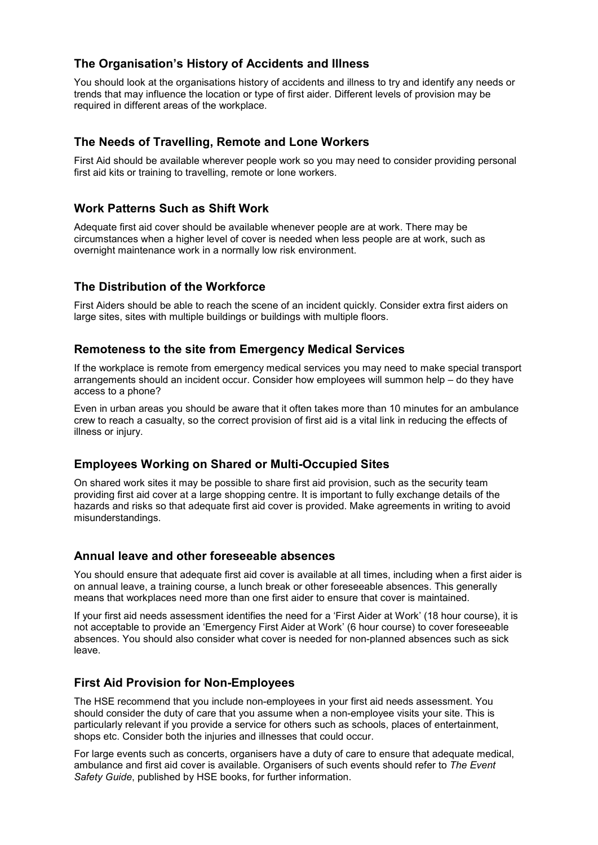# **The Organisation's History of Accidents and Illness**

You should look at the organisations history of accidents and illness to try and identify any needs or trends that may influence the location or type of first aider. Different levels of provision may be required in different areas of the workplace.

# **The Needs of Travelling, Remote and Lone Workers**

First Aid should be available wherever people work so you may need to consider providing personal first aid kits or training to travelling, remote or lone workers.

# **Work Patterns Such as Shift Work**

Adequate first aid cover should be available whenever people are at work. There may be circumstances when a higher level of cover is needed when less people are at work, such as overnight maintenance work in a normally low risk environment.

# **The Distribution of the Workforce**

First Aiders should be able to reach the scene of an incident quickly. Consider extra first aiders on large sites, sites with multiple buildings or buildings with multiple floors.

# **Remoteness to the site from Emergency Medical Services**

If the workplace is remote from emergency medical services you may need to make special transport arrangements should an incident occur. Consider how employees will summon help – do they have access to a phone?

Even in urban areas you should be aware that it often takes more than 10 minutes for an ambulance crew to reach a casualty, so the correct provision of first aid is a vital link in reducing the effects of illness or injury.

# **Employees Working on Shared or Multi-Occupied Sites**

On shared work sites it may be possible to share first aid provision, such as the security team providing first aid cover at a large shopping centre. It is important to fully exchange details of the hazards and risks so that adequate first aid cover is provided. Make agreements in writing to avoid misunderstandings.

# **Annual leave and other foreseeable absences**

You should ensure that adequate first aid cover is available at all times, including when a first aider is on annual leave, a training course, a lunch break or other foreseeable absences. This generally means that workplaces need more than one first aider to ensure that cover is maintained.

If your first aid needs assessment identifies the need for a 'First Aider at Work' (18 hour course), it is not acceptable to provide an 'Emergency First Aider at Work' (6 hour course) to cover foreseeable absences. You should also consider what cover is needed for non-planned absences such as sick leave.

# **First Aid Provision for Non-Employees**

The HSE recommend that you include non-employees in your first aid needs assessment. You should consider the duty of care that you assume when a non-employee visits your site. This is particularly relevant if you provide a service for others such as schools, places of entertainment, shops etc. Consider both the injuries and illnesses that could occur.

For large events such as concerts, organisers have a duty of care to ensure that adequate medical, ambulance and first aid cover is available. Organisers of such events should refer to *The Event Safety Guide*, published by HSE books, for further information.